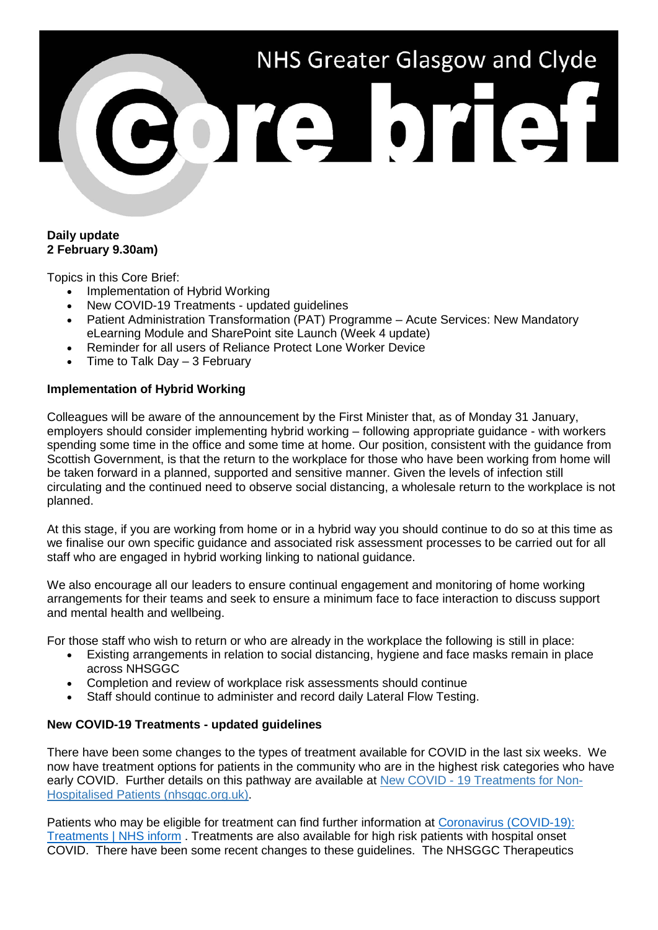# NHS Greater Glasgow and Clyde Porte brief

#### **Daily update 2 February 9.30am)**

Topics in this Core Brief:

- Implementation of Hybrid Working
- New COVID-19 Treatments updated quidelines
- Patient Administration Transformation (PAT) Programme Acute Services: New Mandatory eLearning Module and SharePoint site Launch (Week 4 update)
- Reminder for all users of Reliance Protect Lone Worker Device
- Time to Talk Day  $-3$  February

## **Implementation of Hybrid Working**

Colleagues will be aware of the announcement by the First Minister that, as of Monday 31 January, employers should consider implementing hybrid working – following appropriate guidance - with workers spending some time in the office and some time at home. Our position, consistent with the guidance from Scottish Government, is that the return to the workplace for those who have been working from home will be taken forward in a planned, supported and sensitive manner. Given the levels of infection still circulating and the continued need to observe social distancing, a wholesale return to the workplace is not planned.

At this stage, if you are working from home or in a hybrid way you should continue to do so at this time as we finalise our own specific guidance and associated risk assessment processes to be carried out for all staff who are engaged in hybrid working linking to national guidance.

We also encourage all our leaders to ensure continual engagement and monitoring of home working arrangements for their teams and seek to ensure a minimum face to face interaction to discuss support and mental health and wellbeing.

For those staff who wish to return or who are already in the workplace the following is still in place:

- Existing arrangements in relation to social distancing, hygiene and face masks remain in place across NHSGGC
- Completion and review of workplace risk assessments should continue
- Staff should continue to administer and record daily Lateral Flow Testing.

### **New COVID-19 Treatments - updated guidelines**

There have been some changes to the types of treatment available for COVID in the last six weeks. We now have treatment options for patients in the community who are in the highest risk categories who have early COVID. Further details on this pathway are available at New COVID - [19 Treatments for Non-](https://clinicalguidelines.nhsggc.org.uk/covid-19/communication-updates/new-covid-19-treatments-for-non-hospitalised-patients/)[Hospitalised Patients \(nhsggc.org.uk\).](https://clinicalguidelines.nhsggc.org.uk/covid-19/communication-updates/new-covid-19-treatments-for-non-hospitalised-patients/)

Patients who may be eligible for treatment can find further information at [Coronavirus \(COVID-19\):](https://www.nhsinform.scot/illnesses-and-conditions/infections-and-poisoning/coronavirus-covid-19/coronavirus-covid-19-treatments)  [Treatments | NHS inform](https://www.nhsinform.scot/illnesses-and-conditions/infections-and-poisoning/coronavirus-covid-19/coronavirus-covid-19-treatments) . Treatments are also available for high risk patients with hospital onset COVID. There have been some recent changes to these guidelines. The NHSGGC Therapeutics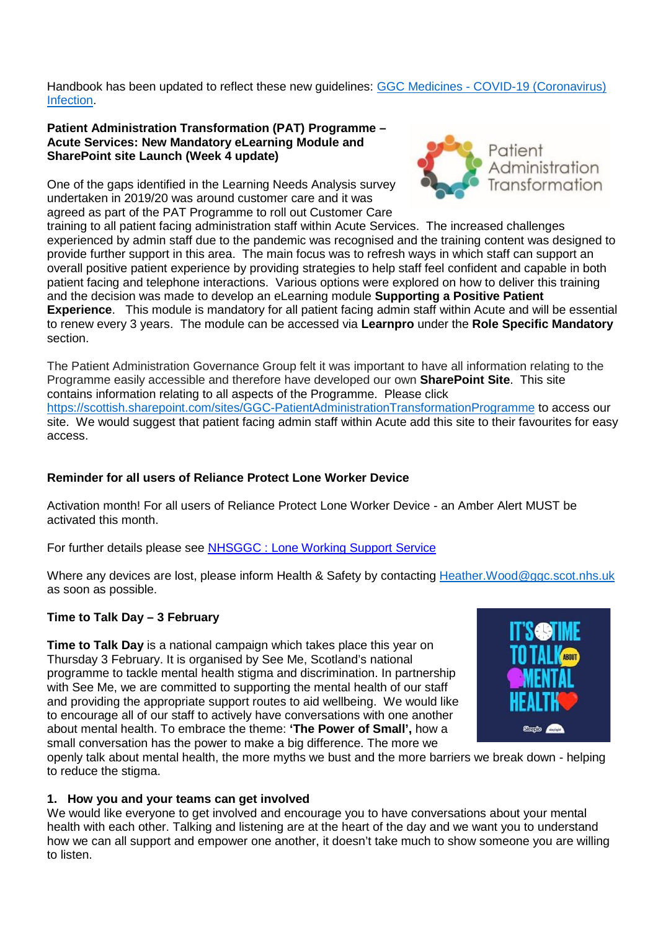Handbook has been updated to reflect these new guidelines: GGC Medicines - [COVID-19 \(Coronavirus\)](https://handbook.ggcmedicines.org.uk/guidelines/covid-19-coronavirus/covid-19-coronavirus-infection/)  [Infection.](https://handbook.ggcmedicines.org.uk/guidelines/covid-19-coronavirus/covid-19-coronavirus-infection/)

#### **Patient Administration Transformation (PAT) Programme – Acute Services: New Mandatory eLearning Module and SharePoint site Launch (Week 4 update)**

One of the gaps identified in the Learning Needs Analysis survey undertaken in 2019/20 was around customer care and it was agreed as part of the PAT Programme to roll out Customer Care



training to all patient facing administration staff within Acute Services. The increased challenges experienced by admin staff due to the pandemic was recognised and the training content was designed to provide further support in this area. The main focus was to refresh ways in which staff can support an overall positive patient experience by providing strategies to help staff feel confident and capable in both patient facing and telephone interactions. Various options were explored on how to deliver this training and the decision was made to develop an eLearning module **Supporting a Positive Patient Experience**. This module is mandatory for all patient facing admin staff within Acute and will be essential to renew every 3 years. The module can be accessed via **Learnpro** under the **Role Specific Mandatory** section.

The Patient Administration Governance Group felt it was important to have all information relating to the Programme easily accessible and therefore have developed our own **SharePoint Site**. This site contains information relating to all aspects of the Programme. Please click <https://scottish.sharepoint.com/sites/GGC-PatientAdministrationTransformationProgramme> to access our site. We would suggest that patient facing admin staff within Acute add this site to their favourites for easy access.

# **Reminder for all users of Reliance Protect Lone Worker Device**

Activation month! For all users of Reliance Protect Lone Worker Device - an Amber Alert MUST be activated this month.

For further details please see [NHSGGC : Lone Working Support Service](https://www.nhsggc.org.uk/working-with-us/hr-connect/health-safety/policies-guidance-documents-forms/lone-working/lone-working-support-service/)

Where any devices are lost, please inform Health & Safety by contacting Heather. Wood@ggc.scot.nhs.uk as soon as possible.

# **Time to Talk Day – 3 February**

**Time to Talk Day** is a national campaign which takes place this year on Thursday 3 February. It is organised by See Me, Scotland's national programme to tackle mental health stigma and discrimination. In partnership with See Me, we are committed to supporting the mental health of our staff and providing the appropriate support routes to aid wellbeing. We would like to encourage all of our staff to actively have conversations with one another about mental health. To embrace the theme: **'The Power of Small',** how a small conversation has the power to make a big difference. The more we



openly talk about mental health, the more myths we bust and the more barriers we break down - helping to reduce the stigma.

# **1. How you and your teams can get involved**

We would like everyone to get involved and encourage you to have conversations about your mental health with each other. Talking and listening are at the heart of the day and we want you to understand how we can all support and empower one another, it doesn't take much to show someone you are willing to listen.